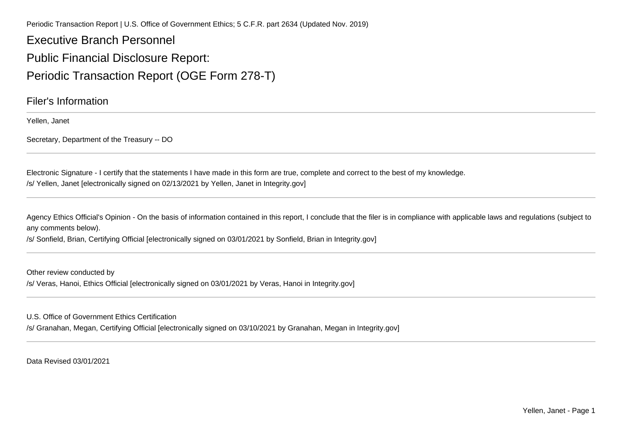Periodic Transaction Report | U.S. Office of Government Ethics; 5 C.F.R. part 2634 (Updated Nov. 2019)

Executive Branch PersonnelPublic Financial Disclosure Report:Periodic Transaction Report (OGE Form 278-T)

Filer's Information

Yellen, Janet

Secretary, Department of the Treasury -- DO

Electronic Signature - I certify that the statements I have made in this form are true, complete and correct to the best of my knowledge./s/ Yellen, Janet [electronically signed on 02/13/2021 by Yellen, Janet in Integrity.gov]

Agency Ethics Official's Opinion - On the basis of information contained in this report, I conclude that the filer is in compliance with applicable laws and regulations (subject to any comments below).

/s/ Sonfield, Brian, Certifying Official [electronically signed on 03/01/2021 by Sonfield, Brian in Integrity.gov]

Other review conducted by/s/ Veras, Hanoi, Ethics Official [electronically signed on 03/01/2021 by Veras, Hanoi in Integrity.gov]

U.S. Office of Government Ethics Certification

/s/ Granahan, Megan, Certifying Official [electronically signed on 03/10/2021 by Granahan, Megan in Integrity.gov]

Data Revised 03/01/2021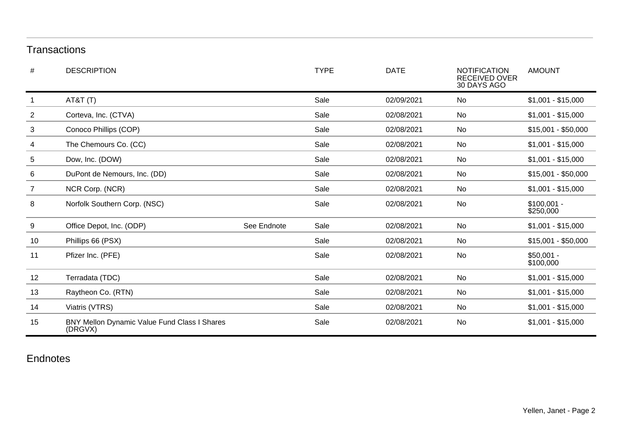## **Transactions**

| #              | <b>DESCRIPTION</b>                                      |             | <b>TYPE</b> | <b>DATE</b> | <b>NOTIFICATION</b><br><b>RECEIVED OVER</b><br>30 DAYS AGO | <b>AMOUNT</b>             |
|----------------|---------------------------------------------------------|-------------|-------------|-------------|------------------------------------------------------------|---------------------------|
| 1              | AT&T(T)                                                 |             | Sale        | 02/09/2021  | No                                                         | $$1,001 - $15,000$        |
| $\overline{2}$ | Corteva, Inc. (CTVA)                                    |             | Sale        | 02/08/2021  | No                                                         | $$1,001 - $15,000$        |
| 3              | Conoco Phillips (COP)                                   |             | Sale        | 02/08/2021  | No                                                         | $$15,001 - $50,000$       |
| 4              | The Chemours Co. (CC)                                   |             | Sale        | 02/08/2021  | No                                                         | $$1,001 - $15,000$        |
| 5              | Dow, Inc. (DOW)                                         |             | Sale        | 02/08/2021  | No                                                         | $$1,001 - $15,000$        |
| 6              | DuPont de Nemours, Inc. (DD)                            |             | Sale        | 02/08/2021  | No                                                         | $$15,001 - $50,000$       |
| $\overline{7}$ | NCR Corp. (NCR)                                         |             | Sale        | 02/08/2021  | No                                                         | $$1,001 - $15,000$        |
| 8              | Norfolk Southern Corp. (NSC)                            |             | Sale        | 02/08/2021  | No                                                         | $$100,001 -$<br>\$250,000 |
| 9              | Office Depot, Inc. (ODP)                                | See Endnote | Sale        | 02/08/2021  | No                                                         | $$1,001 - $15,000$        |
| 10             | Phillips 66 (PSX)                                       |             | Sale        | 02/08/2021  | No                                                         | $$15,001 - $50,000$       |
| 11             | Pfizer Inc. (PFE)                                       |             | Sale        | 02/08/2021  | No                                                         | $$50,001 -$<br>\$100,000  |
| 12             | Terradata (TDC)                                         |             | Sale        | 02/08/2021  | No                                                         | $$1,001 - $15,000$        |
| 13             | Raytheon Co. (RTN)                                      |             | Sale        | 02/08/2021  | No                                                         | $$1,001 - $15,000$        |
| 14             | Viatris (VTRS)                                          |             | Sale        | 02/08/2021  | No                                                         | $$1,001 - $15,000$        |
| 15             | BNY Mellon Dynamic Value Fund Class I Shares<br>(DRGVX) |             | Sale        | 02/08/2021  | No                                                         | $$1,001 - $15,000$        |

## Endnotes